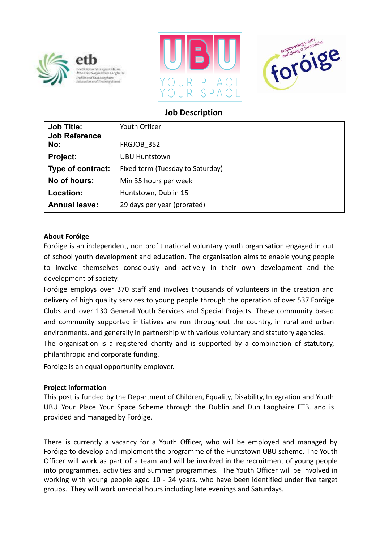





# **Job Description**

| <b>Job Title:</b><br><b>Job Reference</b> | Youth Officer                    |
|-------------------------------------------|----------------------------------|
| No:                                       | FRGJOB 352                       |
| <b>Project:</b>                           | UBU Huntstown                    |
| Type of contract:                         | Fixed term (Tuesday to Saturday) |
| No of hours:                              | Min 35 hours per week            |
| Location:                                 | Huntstown, Dublin 15             |
| <b>Annual leave:</b>                      | 29 days per year (prorated)      |

## **About Foróige**

Foróige is an independent, non profit national voluntary youth organisation engaged in out of school youth development and education. The organisation aims to enable young people to involve themselves consciously and actively in their own development and the development of society.

Foróige employs over 370 staff and involves thousands of volunteers in the creation and delivery of high quality services to young people through the operation of over 537 Foróige Clubs and over 130 General Youth Services and Special Projects. These community based and community supported initiatives are run throughout the country, in rural and urban environments, and generally in partnership with various voluntary and statutory agencies.

The organisation is a registered charity and is supported by a combination of statutory, philanthropic and corporate funding.

Foróige is an equal opportunity employer.

## **Project information**

This post is funded by the Department of Children, Equality, Disability, Integration and Youth UBU Your Place Your Space Scheme through the Dublin and Dun Laoghaire ETB, and is provided and managed by Foróige.

There is currently a vacancy for a Youth Officer, who will be employed and managed by Foróige to develop and implement the programme of the Huntstown UBU scheme. The Youth Officer will work as part of a team and will be involved in the recruitment of young people into programmes, activities and summer programmes. The Youth Officer will be involved in working with young people aged 10 - 24 years, who have been identified under five target groups. They will work unsocial hours including late evenings and Saturdays.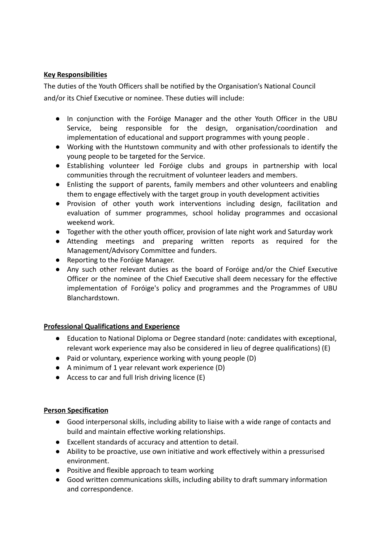## **Key Responsibilities**

The duties of the Youth Officers shall be notified by the Organisation's National Council and/or its Chief Executive or nominee. These duties will include:

- In conjunction with the Foróige Manager and the other Youth Officer in the UBU Service, being responsible for the design, organisation/coordination and implementation of educational and support programmes with young people .
- Working with the Huntstown community and with other professionals to identify the young people to be targeted for the Service.
- Establishing volunteer led Foróige clubs and groups in partnership with local communities through the recruitment of volunteer leaders and members.
- Enlisting the support of parents, family members and other volunteers and enabling them to engage effectively with the target group in youth development activities
- Provision of other youth work interventions including design, facilitation and evaluation of summer programmes, school holiday programmes and occasional weekend work.
- Together with the other youth officer, provision of late night work and Saturday work
- Attending meetings and preparing written reports as required for the Management/Advisory Committee and funders.
- Reporting to the Foróige Manager.
- Any such other relevant duties as the board of Foróige and/or the Chief Executive Officer or the nominee of the Chief Executive shall deem necessary for the effective implementation of Foróige's policy and programmes and the Programmes of UBU Blanchardstown.

## **Professional Qualifications and Experience**

- Education to National Diploma or Degree standard (note: candidates with exceptional, relevant work experience may also be considered in lieu of degree qualifications) (E)
- Paid or voluntary, experience working with young people (D)
- A minimum of 1 year relevant work experience (D)
- $\bullet$  Access to car and full Irish driving licence (E)

## **Person Specification**

- Good interpersonal skills, including ability to liaise with a wide range of contacts and build and maintain effective working relationships.
- Excellent standards of accuracy and attention to detail.
- Ability to be proactive, use own initiative and work effectively within a pressurised environment.
- Positive and flexible approach to team working
- Good written communications skills, including ability to draft summary information and correspondence.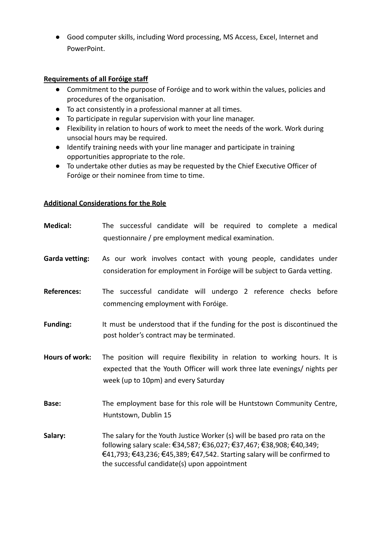● Good computer skills, including Word processing, MS Access, Excel, Internet and PowerPoint.

#### **Requirements of all Foróige staff**

- Commitment to the purpose of Foróige and to work within the values, policies and procedures of the organisation.
- To act consistently in a professional manner at all times.
- To participate in regular supervision with your line manager.
- Flexibility in relation to hours of work to meet the needs of the work. Work during unsocial hours may be required.
- Identify training needs with your line manager and participate in training opportunities appropriate to the role.
- To undertake other duties as may be requested by the Chief Executive Officer of Foróige or their nominee from time to time.

#### **Additional Considerations for the Role**

**Medical:** The successful candidate will be required to complete a medical questionnaire / pre employment medical examination. **Garda vetting:** As our work involves contact with young people, candidates under consideration for employment in Foróige will be subject to Garda vetting. **References:** The successful candidate will undergo 2 reference checks before commencing employment with Foróige. **Funding:** It must be understood that if the funding for the post is discontinued the post holder's contract may be terminated. **Hours of work:** The position will require flexibility in relation to working hours. It is expected that the Youth Officer will work three late evenings/ nights per week (up to 10pm) and every Saturday **Base:** The employment base for this role will be Huntstown Community Centre, Huntstown, Dublin 15 **Salary:** The salary for the Youth Justice Worker (s) will be based pro rata on the following salary scale: €34,587; €36,027; €37,467; €38,908; €40,349; €41,793; €43,236; €45,389; €47,542. Starting salary will be confirmed to the successful candidate(s) upon appointment